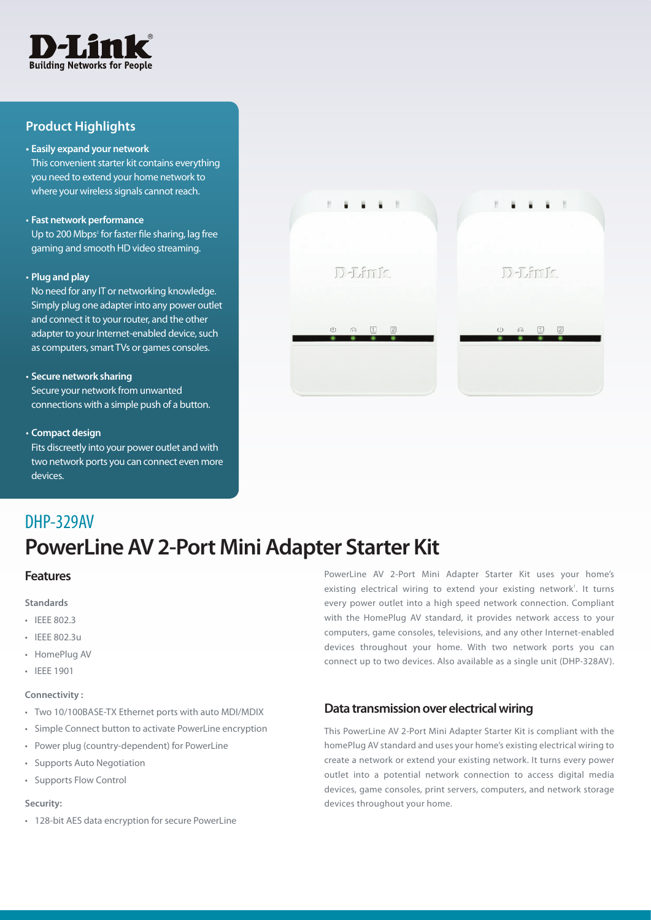

## **Product Highlights**

#### **• Easily expand your network**

This convenient starter kit contains everything you need to extend your home network to where your wireless signals cannot reach.

#### • **Fast network performance**

Up to 200 Mbps<sup>2</sup> for faster file sharing, lag free gaming and smooth HD video streaming.

#### • **Plug and play**

No need for any IT or networking knowledge. Simply plug one adapter into any power outlet and connect it to your router, and the other adapter to your Internet-enabled device, such as computers, smart TVs or games consoles.

#### • **Secure network sharing**

Secure your network from unwanted connections with a simple push of a button.

#### • **Compact design**

Fits discreetly into your power outlet and with two network ports you can connect even more devices.



# DHP-329AV

# **PowerLine AV 2-Port Mini Adapter Starter Kit**

### **Features**

**Standards**

- • IEEE 802.3
- • IEEE 802.3u
- • HomePlug AV
- • IEEE 1901

#### **Connectivity :**

- • Two 10/100BASE-TX Ethernet ports with auto MDI/MDIX
- • Simple Connect button to activate PowerLine encryption
- • Power plug (country-dependent) for PowerLine
- • Supports Auto Negotiation
- • Supports Flow Control

### **Security:**

• 128-bit AES data encryption for secure PowerLine

PowerLine AV 2-Port Mini Adapter Starter Kit uses your home's existing electrical wiring to extend your existing network<sup>1</sup>. It turns every power outlet into a high speed network connection. Compliant with the HomePlug AV standard, it provides network access to your computers, game consoles, televisions, and any other Internet-enabled devices throughout your home. With two network ports you can connect up to two devices. Also available as a single unit (DHP-328AV).

# **Data transmission over electrical wiring**

This PowerLine AV 2-Port Mini Adapter Starter Kit is compliant with the homePlug AV standard and uses your home's existing electrical wiring to create a network or extend your existing network. It turns every power outlet into a potential network connection to access digital media devices, game consoles, print servers, computers, and network storage devices throughout your home.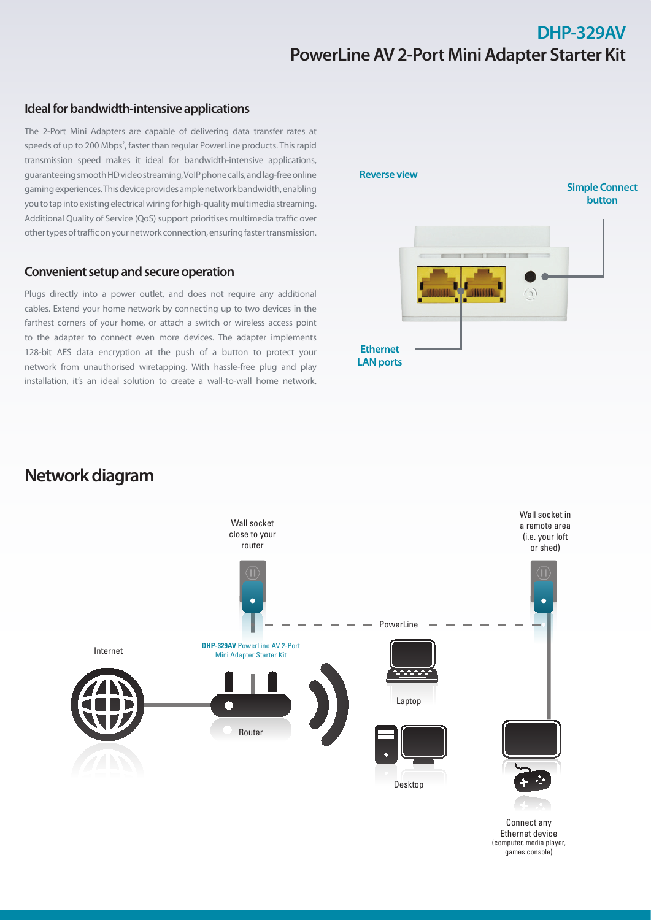# **DHP-329AV PowerLineAV 2-Port MiniAdapter Starter Kit**

## **Ideal for bandwidth-intensive applications**

The 2-Port Mini Adapters are capable of delivering data transfer rates at speeds of up to 200 Mbps<sup>2</sup>, faster than regular PowerLine products. This rapid transmission speed makes it ideal for bandwidth-intensive applications, guaranteeingsmoothHDvideostreaming,VoIPphonecalls,andlag-freeonline gaming experiences. This device provides ample network bandwidth, enabling you to tap into existing electrical wiring for high-quality multimedia streaming. Additional Quality of Service (QoS) support prioritises multimedia traffic over other types of traffic on your network connection, ensuring faster transmission.

### **Convenient setup and secure operation**

Plugs directly into a power outlet, and does not require any additional cables. Extend your home network by connecting up to two devices in the farthest corners of your home, or attach a switch or wireless access point to the adapter to connect even more devices. The adapter implements 128-bit AES data encryption at the push of a button to protect your network from unauthorised wiretapping. With hassle-free plug and play installation, it's an ideal solution to create a wall-to-wall home network.



# **Networkdiagram**



(computer, media player, games console)